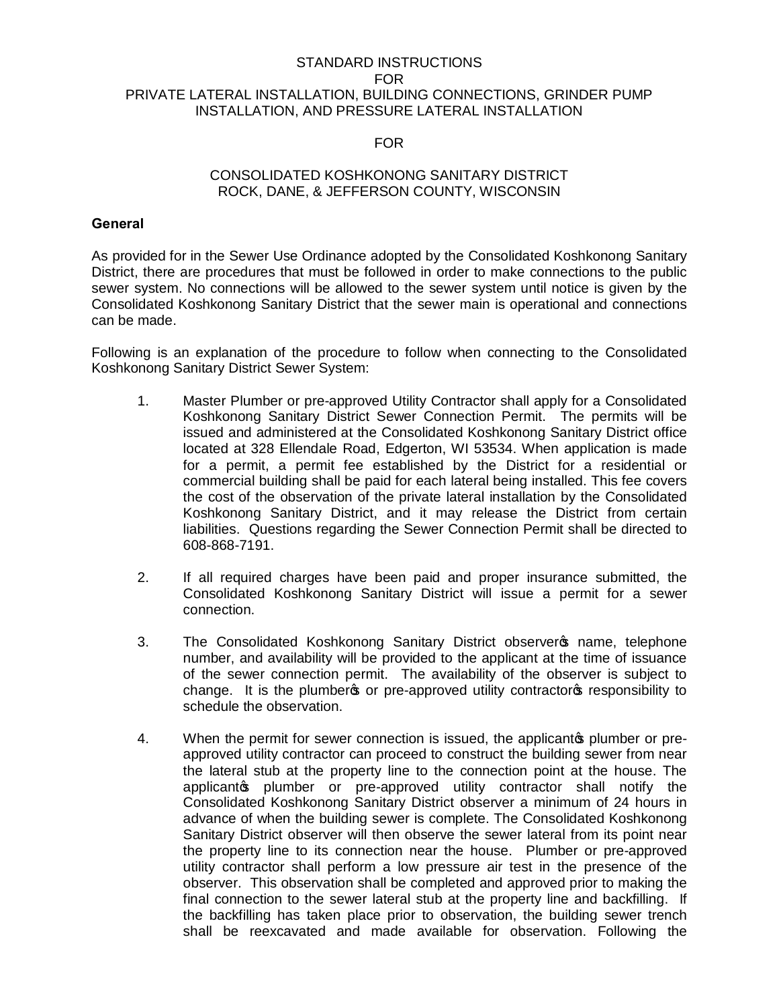## STANDARD INSTRUCTIONS FOR PRIVATE LATERAL INSTALLATION, BUILDING CONNECTIONS, GRINDER PUMP INSTALLATION, AND PRESSURE LATERAL INSTALLATION

## FOR

## CONSOLIDATED KOSHKONONG SANITARY DISTRICT ROCK, DANE, & JEFFERSON COUNTY, WISCONSIN

## **General**

As provided for in the Sewer Use Ordinance adopted by the Consolidated Koshkonong Sanitary District, there are procedures that must be followed in order to make connections to the public sewer system. No connections will be allowed to the sewer system until notice is given by the Consolidated Koshkonong Sanitary District that the sewer main is operational and connections can be made.

Following is an explanation of the procedure to follow when connecting to the Consolidated Koshkonong Sanitary District Sewer System:

- 1. Master Plumber or pre-approved Utility Contractor shall apply for a Consolidated Koshkonong Sanitary District Sewer Connection Permit. The permits will be issued and administered at the Consolidated Koshkonong Sanitary District office located at 328 Ellendale Road, Edgerton, WI 53534. When application is made for a permit, a permit fee established by the District for a residential or commercial building shall be paid for each lateral being installed. This fee covers the cost of the observation of the private lateral installation by the Consolidated Koshkonong Sanitary District, and it may release the District from certain liabilities. Questions regarding the Sewer Connection Permit shall be directed to 608-868-7191.
- 2. If all required charges have been paid and proper insurance submitted, the Consolidated Koshkonong Sanitary District will issue a permit for a sewer connection.
- 3. The Consolidated Koshkonong Sanitary District observer opme, telephone number, and availability will be provided to the applicant at the time of issuance of the sewer connection permit. The availability of the observer is subject to change. It is the plumber to pre-approved utility contractors responsibility to schedule the observation.
- 4. When the permit for sewer connection is issued, the applicant to plumber or preapproved utility contractor can proceed to construct the building sewer from near the lateral stub at the property line to the connection point at the house. The applicanto plumber or pre-approved utility contractor shall notify the Consolidated Koshkonong Sanitary District observer a minimum of 24 hours in advance of when the building sewer is complete. The Consolidated Koshkonong Sanitary District observer will then observe the sewer lateral from its point near the property line to its connection near the house. Plumber or pre-approved utility contractor shall perform a low pressure air test in the presence of the observer. This observation shall be completed and approved prior to making the final connection to the sewer lateral stub at the property line and backfilling. If the backfilling has taken place prior to observation, the building sewer trench shall be reexcavated and made available for observation. Following the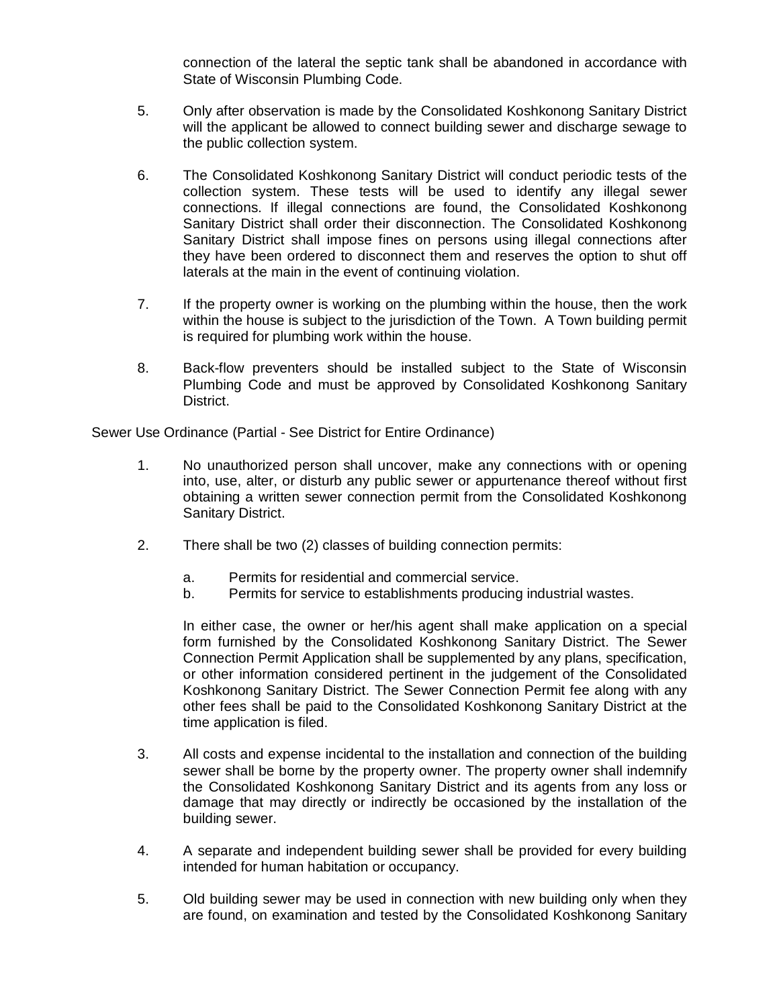connection of the lateral the septic tank shall be abandoned in accordance with State of Wisconsin Plumbing Code.

- 5. Only after observation is made by the Consolidated Koshkonong Sanitary District will the applicant be allowed to connect building sewer and discharge sewage to the public collection system.
- 6. The Consolidated Koshkonong Sanitary District will conduct periodic tests of the collection system. These tests will be used to identify any illegal sewer connections. If illegal connections are found, the Consolidated Koshkonong Sanitary District shall order their disconnection. The Consolidated Koshkonong Sanitary District shall impose fines on persons using illegal connections after they have been ordered to disconnect them and reserves the option to shut off laterals at the main in the event of continuing violation.
- 7. If the property owner is working on the plumbing within the house, then the work within the house is subject to the jurisdiction of the Town. A Town building permit is required for plumbing work within the house.
- 8. Back-flow preventers should be installed subject to the State of Wisconsin Plumbing Code and must be approved by Consolidated Koshkonong Sanitary District.

Sewer Use Ordinance (Partial - See District for Entire Ordinance)

- 1. No unauthorized person shall uncover, make any connections with or opening into, use, alter, or disturb any public sewer or appurtenance thereof without first obtaining a written sewer connection permit from the Consolidated Koshkonong Sanitary District.
- 2. There shall be two (2) classes of building connection permits:
	- a. Permits for residential and commercial service.
	- b. Permits for service to establishments producing industrial wastes.

In either case, the owner or her/his agent shall make application on a special form furnished by the Consolidated Koshkonong Sanitary District. The Sewer Connection Permit Application shall be supplemented by any plans, specification, or other information considered pertinent in the judgement of the Consolidated Koshkonong Sanitary District. The Sewer Connection Permit fee along with any other fees shall be paid to the Consolidated Koshkonong Sanitary District at the time application is filed.

- 3. All costs and expense incidental to the installation and connection of the building sewer shall be borne by the property owner. The property owner shall indemnify the Consolidated Koshkonong Sanitary District and its agents from any loss or damage that may directly or indirectly be occasioned by the installation of the building sewer.
- 4. A separate and independent building sewer shall be provided for every building intended for human habitation or occupancy.
- 5. Old building sewer may be used in connection with new building only when they are found, on examination and tested by the Consolidated Koshkonong Sanitary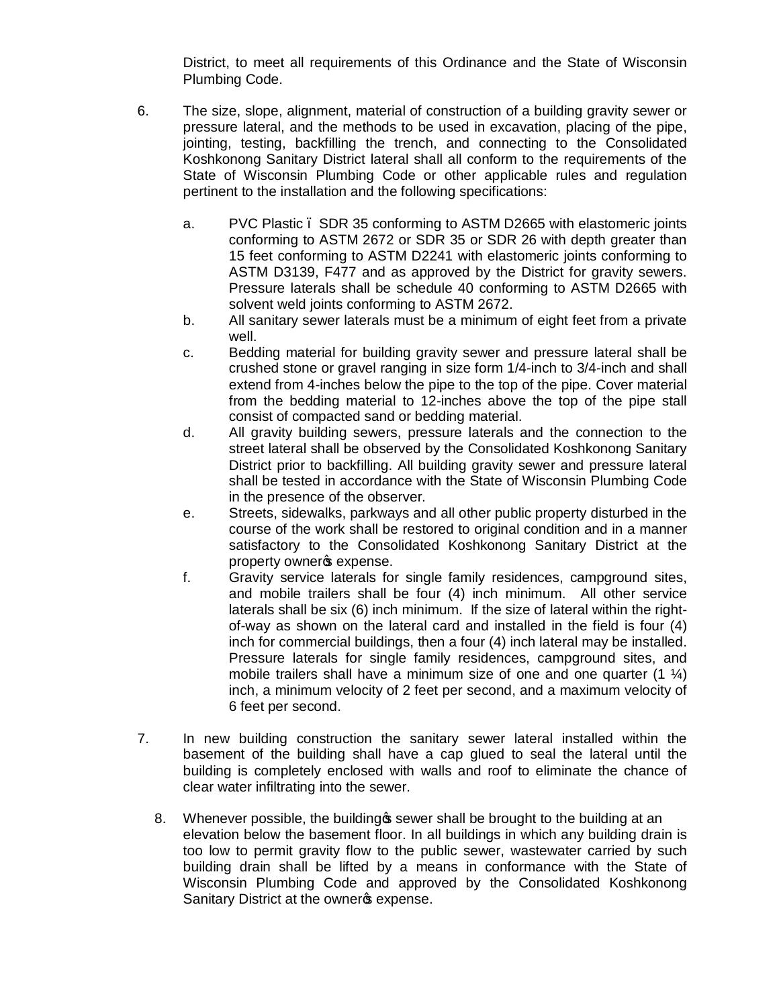District, to meet all requirements of this Ordinance and the State of Wisconsin Plumbing Code.

- 6. The size, slope, alignment, material of construction of a building gravity sewer or pressure lateral, and the methods to be used in excavation, placing of the pipe, jointing, testing, backfilling the trench, and connecting to the Consolidated Koshkonong Sanitary District lateral shall all conform to the requirements of the State of Wisconsin Plumbing Code or other applicable rules and regulation pertinent to the installation and the following specifications:
	- a. PVC Plastic SDR 35 conforming to ASTM D2665 with elastomeric joints conforming to ASTM 2672 or SDR 35 or SDR 26 with depth greater than 15 feet conforming to ASTM D2241 with elastomeric joints conforming to ASTM D3139, F477 and as approved by the District for gravity sewers. Pressure laterals shall be schedule 40 conforming to ASTM D2665 with solvent weld joints conforming to ASTM 2672.
	- b. All sanitary sewer laterals must be a minimum of eight feet from a private well.
	- c. Bedding material for building gravity sewer and pressure lateral shall be crushed stone or gravel ranging in size form 1/4-inch to 3/4-inch and shall extend from 4-inches below the pipe to the top of the pipe. Cover material from the bedding material to 12-inches above the top of the pipe stall consist of compacted sand or bedding material.
	- d. All gravity building sewers, pressure laterals and the connection to the street lateral shall be observed by the Consolidated Koshkonong Sanitary District prior to backfilling. All building gravity sewer and pressure lateral shall be tested in accordance with the State of Wisconsin Plumbing Code in the presence of the observer.
	- e. Streets, sidewalks, parkways and all other public property disturbed in the course of the work shall be restored to original condition and in a manner satisfactory to the Consolidated Koshkonong Sanitary District at the property owners expense.
	- f. Gravity service laterals for single family residences, campground sites, and mobile trailers shall be four (4) inch minimum. All other service laterals shall be six (6) inch minimum. If the size of lateral within the rightof-way as shown on the lateral card and installed in the field is four (4) inch for commercial buildings, then a four (4) inch lateral may be installed. Pressure laterals for single family residences, campground sites, and mobile trailers shall have a minimum size of one and one quarter  $(1 \, \mathcal{U})$ inch, a minimum velocity of 2 feet per second, and a maximum velocity of 6 feet per second.
- 7. In new building construction the sanitary sewer lateral installed within the basement of the building shall have a cap glued to seal the lateral until the building is completely enclosed with walls and roof to eliminate the chance of clear water infiltrating into the sewer.
	- 8. Whenever possible, the building **s** sewer shall be brought to the building at an elevation below the basement floor. In all buildings in which any building drain is too low to permit gravity flow to the public sewer, wastewater carried by such building drain shall be lifted by a means in conformance with the State of Wisconsin Plumbing Code and approved by the Consolidated Koshkonong Sanitary District at the owner<sup>g</sup> expense.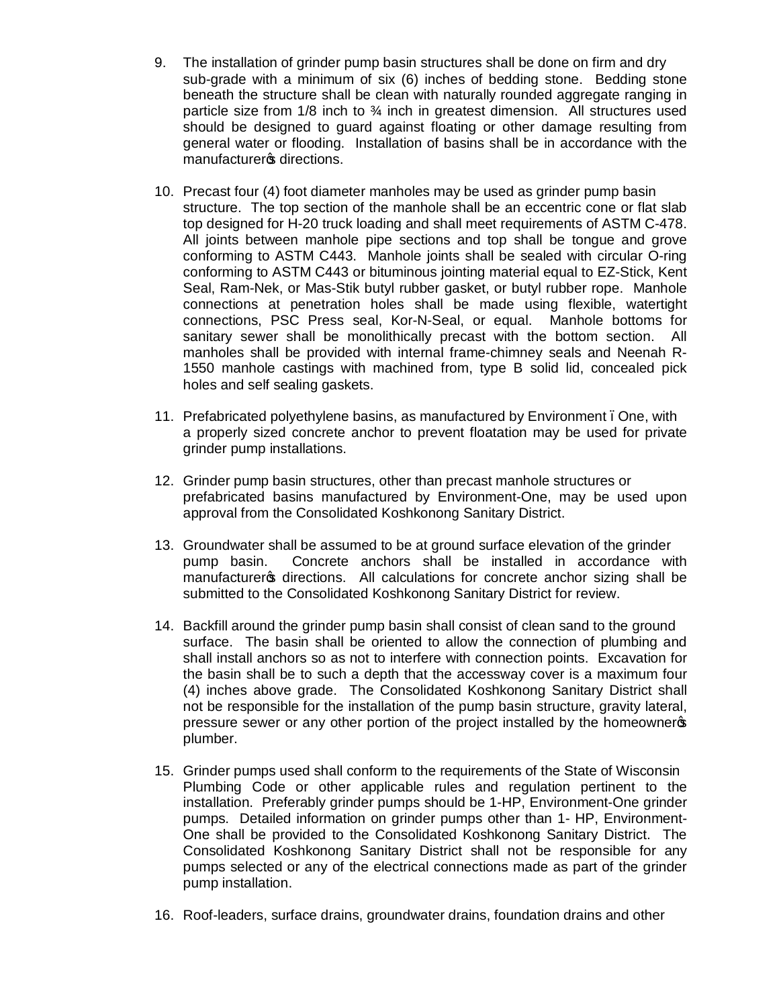- 9. The installation of grinder pump basin structures shall be done on firm and dry sub-grade with a minimum of six (6) inches of bedding stone. Bedding stone beneath the structure shall be clean with naturally rounded aggregate ranging in particle size from  $1/8$  inch to  $\frac{3}{4}$  inch in greatest dimension. All structures used should be designed to guard against floating or other damage resulting from general water or flooding. Installation of basins shall be in accordance with the manufacturers directions.
- 10. Precast four (4) foot diameter manholes may be used as grinder pump basin structure. The top section of the manhole shall be an eccentric cone or flat slab top designed for H-20 truck loading and shall meet requirements of ASTM C-478. All joints between manhole pipe sections and top shall be tongue and grove conforming to ASTM C443. Manhole joints shall be sealed with circular O-ring conforming to ASTM C443 or bituminous jointing material equal to EZ-Stick, Kent Seal, Ram-Nek, or Mas-Stik butyl rubber gasket, or butyl rubber rope. Manhole connections at penetration holes shall be made using flexible, watertight connections, PSC Press seal, Kor-N-Seal, or equal. Manhole bottoms for sanitary sewer shall be monolithically precast with the bottom section. All manholes shall be provided with internal frame-chimney seals and Neenah R-1550 manhole castings with machined from, type B solid lid, concealed pick holes and self sealing gaskets.
- 11. Prefabricated polyethylene basins, as manufactured by Environment. One, with a properly sized concrete anchor to prevent floatation may be used for private grinder pump installations.
- 12. Grinder pump basin structures, other than precast manhole structures or prefabricated basins manufactured by Environment-One, may be used upon approval from the Consolidated Koshkonong Sanitary District.
- 13. Groundwater shall be assumed to be at ground surface elevation of the grinder pump basin. Concrete anchors shall be installed in accordance with manufacturer of directions. All calculations for concrete anchor sizing shall be submitted to the Consolidated Koshkonong Sanitary District for review.
- 14. Backfill around the grinder pump basin shall consist of clean sand to the ground surface. The basin shall be oriented to allow the connection of plumbing and shall install anchors so as not to interfere with connection points. Excavation for the basin shall be to such a depth that the accessway cover is a maximum four (4) inches above grade. The Consolidated Koshkonong Sanitary District shall not be responsible for the installation of the pump basin structure, gravity lateral, pressure sewer or any other portion of the project installed by the homeowner's plumber.
- 15. Grinder pumps used shall conform to the requirements of the State of Wisconsin Plumbing Code or other applicable rules and regulation pertinent to the installation. Preferably grinder pumps should be 1-HP, Environment-One grinder pumps. Detailed information on grinder pumps other than 1- HP, Environment-One shall be provided to the Consolidated Koshkonong Sanitary District. The Consolidated Koshkonong Sanitary District shall not be responsible for any pumps selected or any of the electrical connections made as part of the grinder pump installation.
- 16. Roof-leaders, surface drains, groundwater drains, foundation drains and other